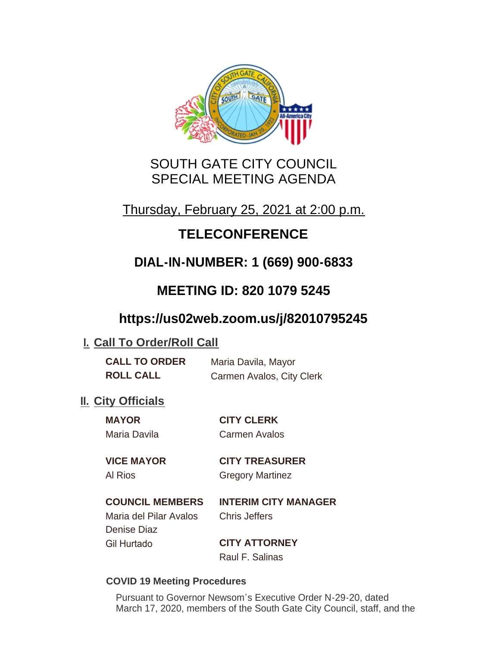

# SOUTH GATE CITY COUNCIL SPECIAL MEETING AGENDA

# Thursday, February 25, 2021 at 2:00 p.m.

# **TELECONFERENCE**

# **DIAL-IN-NUMBER: 1 (669) 900-6833**

# **MEETING ID: 820 1079 5245**

# **https://us02web.zoom.us/j/82010795245**

## **I. Call To Order/Roll Call**

**CALL TO ORDER** Maria Davila, Mayor **ROLL CALL** Carmen Avalos, City Clerk

## **II.** City Officials

**MAYOR CITY CLERK**

Maria Davila Carmen Avalos

**VICE MAYOR CITY TREASURER** Al Rios **Gregory Martinez** 

**COUNCIL MEMBERS INTERIM CITY MANAGER**

### Maria del Pilar Avalos Chris Jeffers Denise Diaz Gil Hurtado **CITY ATTORNEY**

Raul F. Salinas

#### **COVID 19 Meeting Procedures**

Pursuant to Governor Newsom's Executive Order N-29-20, dated March 17, 2020, members of the South Gate City Council, staff, and the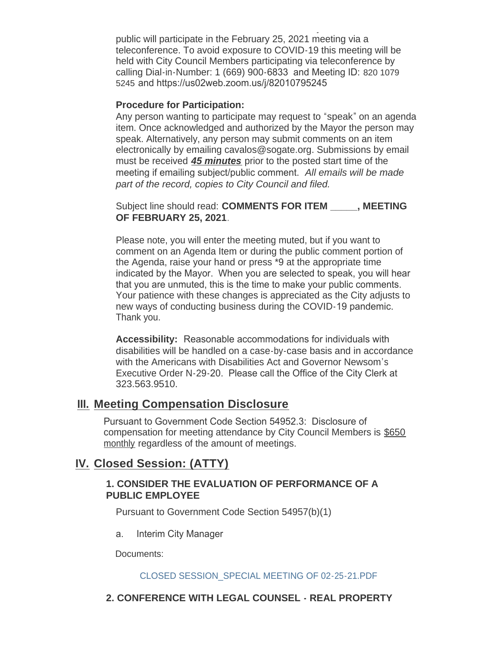March 17, 2020, members of the South Gate City Council, staff, and the public will participate in the February 25, 2021 meeting via a teleconference. To avoid exposure to COVID-19 this meeting will be held with City Council Members participating via teleconference by calling Dial-in-Number: 1 (669) 900-6833 and Meeting ID: 820 1079 5245 and https://us02web.zoom.us/j/82010795245

#### **Procedure for Participation:**

Any person wanting to participate may request to "speak" on an agenda item. Once acknowledged and authorized by the Mayor the person may speak. Alternatively, any person may submit comments on an item electronically by emailing cavalos@sogate.org. Submissions by email must be received *45 minutes* prior to the posted start time of the meeting if emailing subject/public comment. *All emails will be made part of the record, copies to City Council and filed.*

Subject line should read: **COMMENTS FOR ITEM** FREETING **OF FEBRUARY 25, 2021**.

Please note, you will enter the meeting muted, but if you want to comment on an Agenda Item or during the public comment portion of the Agenda, raise your hand or press \*9 at the appropriate time indicated by the Mayor. When you are selected to speak, you will hear that you are unmuted, this is the time to make your public comments. Your patience with these changes is appreciated as the City adjusts to new ways of conducting business during the COVID-19 pandemic. Thank you.

**Accessibility:** Reasonable accommodations for individuals with disabilities will be handled on a case-by-case basis and in accordance with the Americans with Disabilities Act and Governor Newsom's Executive Order N-29-20. Please call the Office of the City Clerk at 323.563.9510.

### **Meeting Compensation Disclosure III.**

Pursuant to Government Code Section 54952.3: Disclosure of compensation for meeting attendance by City Council Members is \$650 monthly regardless of the amount of meetings.

### **Closed Session: (ATTY) IV.**

#### **1. CONSIDER THE EVALUATION OF PERFORMANCE OF A PUBLIC EMPLOYEE**

Pursuant to Government Code Section 54957(b)(1)

a. Interim City Manager

Documents:

#### CLOSED SESSION\_SPECIAL MEETING OF 02-25-21.PDF

#### **2. CONFERENCE WITH LEGAL COUNSEL - REAL PROPERTY**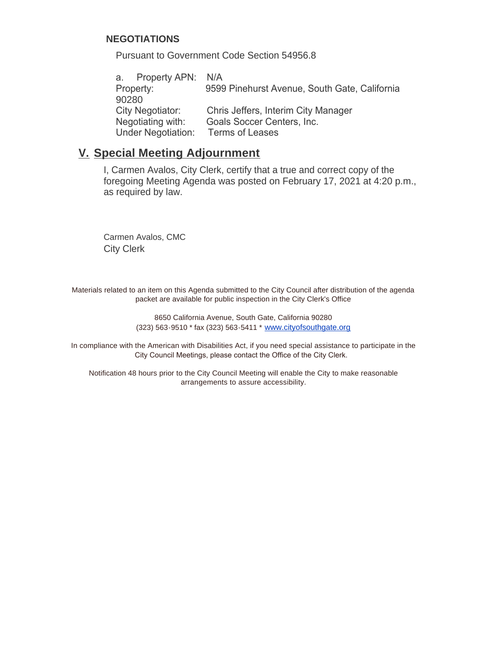#### **NEGOTIATIONS**

Pursuant to Government Code Section 54956.8

a. Property APN: N/A Property: 9599 Pinehurst Avenue, South Gate, California 90280 City Negotiator: Chris Jeffers, Interim City Manager Negotiating with: Goals Soccer Centers, Inc. Under Negotiation: Terms of Leases

### **Special Meeting Adjournment V.**

I, Carmen Avalos, City Clerk, certify that a true and correct copy of the foregoing Meeting Agenda was posted on February 17, 2021 at 4:20 p.m., as required by law.

Carmen Avalos, CMC City Clerk

Materials related to an item on this Agenda submitted to the City Council after distribution of the agenda packet are available for public inspection in the City Clerk's Office

> 8650 California Avenue, South Gate, California 90280 (323) 563-9510 \* fax (323) 563-5411 \* [www.cityofsouthgate.org](http://www.cityofsouthgate.org/)

In compliance with the American with Disabilities Act, if you need special assistance to participate in the City Council Meetings, please contact the Office of the City Clerk.

Notification 48 hours prior to the City Council Meeting will enable the City to make reasonable arrangements to assure accessibility.